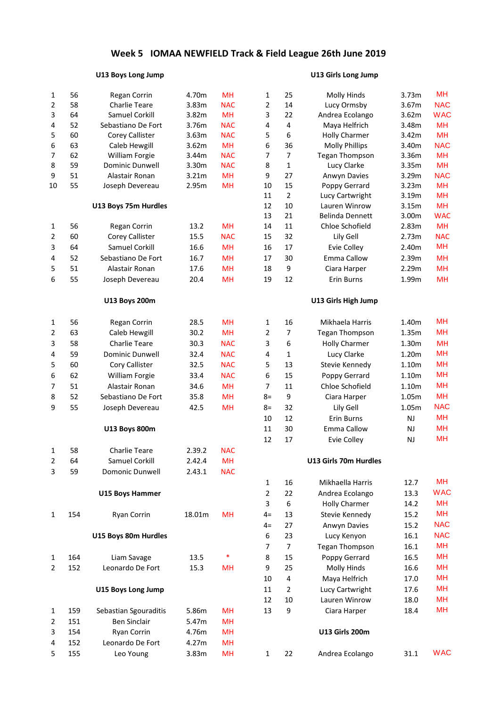#### **U13 Boys Long Jump U13 Girls Long Jump**

| $\mathbf{1}$   | 56  | Regan Corrin              | 4.70m  | <b>MH</b>  | $\mathbf{1}$   | 25                      | <b>Molly Hinds</b>     | 3.73m     | MH         |
|----------------|-----|---------------------------|--------|------------|----------------|-------------------------|------------------------|-----------|------------|
| $\overline{2}$ | 58  | <b>Charlie Teare</b>      | 3.83m  | <b>NAC</b> | $\overline{2}$ | 14                      | Lucy Ormsby            | 3.67m     | <b>NAC</b> |
| 3              | 64  | Samuel Corkill            | 3.82m  | <b>MH</b>  | 3              | 22                      | Andrea Ecolango        | 3.62m     | <b>WAC</b> |
| 4              | 52  | Sebastiano De Fort        | 3.76m  | <b>NAC</b> | 4              | $\sqrt{4}$              | Maya Helfrich          | 3.48m     | <b>MH</b>  |
| 5              | 60  | <b>Corey Callister</b>    | 3.63m  | <b>NAC</b> | 5              | 6                       | <b>Holly Charmer</b>   | 3.42m     | <b>MH</b>  |
| 6              | 63  | Caleb Hewgill             | 3.62m  | <b>MH</b>  | 6              | 36                      | <b>Molly Phillips</b>  | 3.40m     | <b>NAC</b> |
| 7              | 62  | William Forgie            | 3.44m  | <b>NAC</b> | 7              | $\overline{7}$          | <b>Tegan Thompson</b>  | 3.36m     | <b>MH</b>  |
| 8              | 59  | Dominic Dunwell           | 3.30m  | <b>NAC</b> | 8              | $\mathbf 1$             | Lucy Clarke            | 3.35m     | <b>MH</b>  |
| 9              | 51  | Alastair Ronan            | 3.21m  | <b>MH</b>  | 9              | 27                      | Anwyn Davies           | 3.29m     | <b>NAC</b> |
| 10             | 55  | Joseph Devereau           | 2.95m  | MH         | $10\,$         | 15                      | Poppy Gerrard          | 3.23m     | <b>MH</b>  |
|                |     |                           |        |            | 11             | $\mathbf 2$             | Lucy Cartwright        | 3.19m     | <b>MH</b>  |
|                |     | U13 Boys 75m Hurdles      |        |            | 12             | $10\,$                  | Lauren Winrow          | 3.15m     | <b>MH</b>  |
|                |     |                           |        |            | 13             | 21                      | <b>Belinda Dennett</b> | 3.00m     | <b>WAC</b> |
| $\mathbf{1}$   | 56  | Regan Corrin              | 13.2   | <b>MH</b>  | 14             | $11\,$                  | Chloe Schofield        | 2.83m     | <b>MH</b>  |
| 2              | 60  | Corey Callister           | 15.5   | <b>NAC</b> | 15             | 32                      | Lily Gell              | 2.73m     | <b>NAC</b> |
| 3              | 64  | Samuel Corkill            | 16.6   | <b>MH</b>  | 16             | 17                      | <b>Evie Colley</b>     | 2.40m     | MH         |
| 4              | 52  | Sebastiano De Fort        | 16.7   | <b>MH</b>  | 17             | 30                      | Emma Callow            | 2.39m     | <b>MH</b>  |
| 5              | 51  | Alastair Ronan            | 17.6   | <b>MH</b>  | 18             | 9                       | Ciara Harper           | 2.29m     | <b>MH</b>  |
| 6              | 55  | Joseph Devereau           | 20.4   | <b>MH</b>  | 19             | 12                      | Erin Burns             | 1.99m     | MH         |
|                |     | <b>U13 Boys 200m</b>      |        |            |                |                         | U13 Girls High Jump    |           |            |
| 1              | 56  | Regan Corrin              | 28.5   | <b>MH</b>  | 1              | 16                      | Mikhaela Harris        | 1.40m     | MH         |
| 2              | 63  | Caleb Hewgill             | 30.2   | <b>MH</b>  | 2              | 7                       | <b>Tegan Thompson</b>  | 1.35m     | <b>MH</b>  |
| 3              | 58  | <b>Charlie Teare</b>      | 30.3   | <b>NAC</b> | 3              | 6                       | <b>Holly Charmer</b>   | 1.30m     | <b>MH</b>  |
| 4              | 59  | Dominic Dunwell           | 32.4   | <b>NAC</b> | 4              | $\mathbf{1}$            | Lucy Clarke            | 1.20m     | <b>MH</b>  |
| 5              | 60  | Cory Callister            | 32.5   | <b>NAC</b> | 5              | 13                      | Stevie Kennedy         | 1.10m     | <b>MH</b>  |
| 6              | 62  | William Forgie            | 33.4   | <b>NAC</b> | 6              | 15                      | Poppy Gerrard          | 1.10m     | <b>MH</b>  |
| 7              | 51  | Alastair Ronan            | 34.6   | <b>MH</b>  | $\overline{7}$ | 11                      | Chloe Schofield        | 1.10m     | <b>MH</b>  |
| 8              | 52  | Sebastiano De Fort        | 35.8   | <b>MH</b>  | $8=$           | $\boldsymbol{9}$        | Ciara Harper           | 1.05m     | <b>MH</b>  |
| 9              | 55  | Joseph Devereau           | 42.5   | <b>MH</b>  | $8=$           | 32                      | Lily Gell              | 1.05m     | <b>NAC</b> |
|                |     |                           |        |            | 10             | 12                      | Erin Burns             | NJ        | MH         |
|                |     | <b>U13 Boys 800m</b>      |        |            | 11             | 30                      | Emma Callow            | <b>NJ</b> | <b>MH</b>  |
|                |     |                           |        |            | 12             | 17                      |                        |           | MH         |
|                |     | <b>Charlie Teare</b>      |        |            |                |                         | Evie Colley            | NJ        |            |
| 1              | 58  |                           | 2.39.2 | <b>NAC</b> |                |                         |                        |           |            |
| 2              | 64  | Samuel Corkill            | 2.42.4 | <b>MH</b>  |                |                         | U13 Girls 70m Hurdles  |           |            |
| 3              | 59  | Domonic Dunwell           | 2.43.1 | <b>NAC</b> |                |                         |                        |           |            |
|                |     |                           |        |            | 1              | 16                      | Mikhaella Harris       | 12.7      | MH         |
|                |     | <b>U15 Boys Hammer</b>    |        |            | $\overline{2}$ | 22                      | Andrea Ecolango        | 13.3      | <b>WAC</b> |
|                |     |                           |        |            | 3              | 6                       | <b>Holly Charmer</b>   | 14.2      | MH         |
| $\mathbf{1}$   | 154 | Ryan Corrin               | 18.01m | <b>MH</b>  | $4=$           | 13                      | Stevie Kennedy         | 15.2      | <b>MH</b>  |
|                |     |                           |        |            | $4=$           | 27                      | Anwyn Davies           | 15.2      | <b>NAC</b> |
|                |     | U15 Boys 80m Hurdles      |        |            | 6              | 23                      | Lucy Kenyon            | 16.1      | <b>NAC</b> |
|                |     |                           |        |            | 7              | 7                       | <b>Tegan Thompson</b>  | 16.1      | MH         |
| 1              | 164 | Liam Savage               | 13.5   | *          | 8              | 15                      | Poppy Gerrard          | 16.5      | MH         |
| 2              | 152 | Leonardo De Fort          | 15.3   | <b>MH</b>  | 9              | 25                      | <b>Molly Hinds</b>     | 16.6      | <b>MH</b>  |
|                |     |                           |        |            | 10             | $\overline{\mathbf{4}}$ | Maya Helfrich          | 17.0      | <b>MH</b>  |
|                |     | <b>U15 Boys Long Jump</b> |        |            | 11             | $\overline{2}$          | Lucy Cartwright        | 17.6      | <b>MH</b>  |
|                |     |                           |        |            | 12             | 10                      | Lauren Winrow          | 18.0      | <b>MH</b>  |
| $\mathbf{1}$   | 159 | Sebastian Sgouraditis     | 5.86m  | <b>MH</b>  | 13             | 9                       | Ciara Harper           | 18.4      | MH         |
| 2              | 151 | <b>Ben Sinclair</b>       | 5.47m  | <b>MH</b>  |                |                         |                        |           |            |
| 3              | 154 | Ryan Corrin               | 4.76m  | <b>MH</b>  |                |                         | U13 Girls 200m         |           |            |
| 4              | 152 | Leonardo De Fort          | 4.27m  | <b>MH</b>  |                |                         |                        |           |            |
| 5              | 155 | Leo Young                 | 3.83m  | MH         | 1              | 22                      | Andrea Ecolango        | 31.1      | <b>WAC</b> |

| 1              | 25             | Molly Hinds            | 3.73m | <b>IVIN</b> |
|----------------|----------------|------------------------|-------|-------------|
| 2              | 14             | Lucy Ormsby            | 3.67m | <b>NAC</b>  |
| 3              | 22             | Andrea Ecolango        | 3.62m | <b>WAC</b>  |
| 4              | 4              | Maya Helfrich          | 3.48m | MH          |
| 5              | 6              | <b>Holly Charmer</b>   | 3.42m | MH          |
| 6              | 36             | <b>Molly Phillips</b>  | 3.40m | <b>NAC</b>  |
| 7              | 7              | <b>Tegan Thompson</b>  | 3.36m | MH          |
| 8              | 1              | Lucy Clarke            | 3.35m | MH          |
| 9              | 27             | Anwyn Davies           | 3.29m | <b>NAC</b>  |
| 10             | 15             | Poppy Gerrard          | 3.23m | MH          |
| 11             | $\overline{2}$ | Lucy Cartwright        | 3.19m | MH          |
| 12             | 10             | Lauren Winrow          | 3.15m | MН          |
| 13             | 21             | <b>Belinda Dennett</b> | 3.00m | <b>WAC</b>  |
| 14             | 11             | Chloe Schofield        | 2.83m | MН          |
| 15             | 32             | Lily Gell              | 2.73m | <b>NAC</b>  |
| 16             | 17             | Evie Colley            | 2.40m | MН          |
| 17             | 30             | <b>Emma Callow</b>     | 2.39m | MH          |
| 18             | 9              | Ciara Harper           | 2.29m | MH          |
| 19             | 12             | Erin Burns             | 1.99m | MН          |
|                |                | U13 Girls High Jump    |       |             |
| 1              | 16             | Mikhaela Harris        | 1.40m | MН          |
| 2              | 7              | <b>Tegan Thompson</b>  | 1.35m | MН          |
| 3              | 6              | <b>Holly Charmer</b>   | 1.30m | MH          |
| 4              | 1              | Lucy Clarke            | 1.20m | MН          |
| 5              | 13             | Stevie Kennedy         | 1.10m | MН          |
| 6              | 15             | Poppy Gerrard          | 1.10m | MН          |
| 7              | 11             | Chloe Schofield        | 1.10m | MН          |
| 8=             | 9              | Ciara Harper           | 1.05m | MН          |
| $8=$           | 32             | Lily Gell              | 1.05m | <b>NAC</b>  |
| 10             | 12             | Erin Burns             | NJ    | MН          |
| 11             | 30             | <b>Emma Callow</b>     | NJ    | MH          |
| 12             | 17             | Evie Colley            | NJ    | MН          |
|                |                | U13 Girls 70m Hurdles  |       |             |
| 1              | 16             | Mikhaella Harris       | 12.7  | MН          |
| $\overline{2}$ | 22             | Andrea Ecolango        | 13.3  | <b>WAC</b>  |
| 3              | 6              | <b>Holly Charmer</b>   | 14.2  | <b>MH</b>   |
| 4=             | 13             | Stevie Kennedy         | 15.2  | <b>MH</b>   |
| 4=             | 27             | Anwyn Davies           | 15.2  | <b>NAC</b>  |
| 6              | 23             | Lucy Kenyon            | 16.1  | <b>NAC</b>  |
| 7              | 7              | <b>Tegan Thompson</b>  | 16.1  | <b>MH</b>   |
| 8              | 15             | Poppy Gerrard          | 16.5  | MН          |
| 9              | 25             | <b>Molly Hinds</b>     | 16.6  | MН          |
| 10             | 4              | Maya Helfrich          | 17.0  | MН          |
| 11             | 2              | Lucy Cartwright        | 17.6  | MН          |
| 12             | 10             | Lauren Winrow          | 18.0  | <b>MH</b>   |
| 13             | 9              | Ciara Harper           | 18.4  | MН          |
|                |                | U13 Girls 200m         |       |             |
| 1              | 22             | Andrea Ecolango        | 31.1  | <b>WAC</b>  |
|                |                |                        |       |             |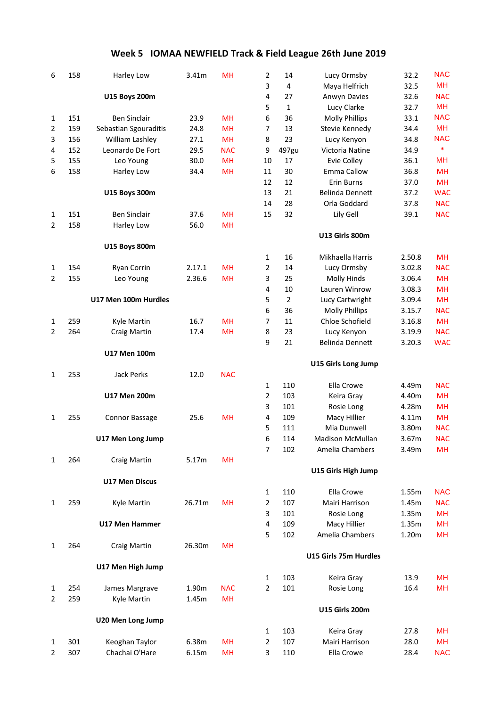| 6              | 158 | Harley Low               | 3.41m  | MH         | $\overline{2}$          | 14             | Lucy Ormsby             | 32.2   | <b>NAC</b> |
|----------------|-----|--------------------------|--------|------------|-------------------------|----------------|-------------------------|--------|------------|
|                |     |                          |        |            | 3                       | 4              | Maya Helfrich           | 32.5   | <b>MH</b>  |
|                |     | <b>U15 Boys 200m</b>     |        |            | 4                       | 27             | Anwyn Davies            | 32.6   | <b>NAC</b> |
|                |     |                          |        |            | 5                       | $\mathbf{1}$   | Lucy Clarke             | 32.7   | MH         |
| 1              | 151 | <b>Ben Sinclair</b>      | 23.9   | <b>MH</b>  | 6                       | 36             | <b>Molly Phillips</b>   | 33.1   | <b>NAC</b> |
| 2              | 159 | Sebastian Sgouraditis    | 24.8   | <b>MH</b>  | 7                       | 13             | Stevie Kennedy          | 34.4   | MH         |
| 3              | 156 | William Lashley          | 27.1   | <b>MH</b>  | 8                       | 23             | Lucy Kenyon             | 34.8   | <b>NAC</b> |
| 4              | 152 | Leonardo De Fort         | 29.5   | <b>NAC</b> | 9                       | 497gu          | Victoria Natine         | 34.9   | $\ast$     |
| 5              | 155 | Leo Young                | 30.0   | <b>MH</b>  | 10                      | 17             | <b>Evie Colley</b>      | 36.1   | <b>MH</b>  |
| 6              | 158 | Harley Low               | 34.4   | <b>MH</b>  | 11                      | 30             | Emma Callow             | 36.8   | <b>MH</b>  |
|                |     |                          |        |            | 12                      | 12             | Erin Burns              | 37.0   | <b>MH</b>  |
|                |     | <b>U15 Boys 300m</b>     |        |            | 13                      | 21             | <b>Belinda Dennett</b>  | 37.2   | <b>WAC</b> |
|                |     |                          |        |            | 14                      | 28             | Orla Goddard            | 37.8   | <b>NAC</b> |
| 1              | 151 | <b>Ben Sinclair</b>      | 37.6   | <b>MH</b>  | 15                      | 32             | Lily Gell               | 39.1   | <b>NAC</b> |
| $\overline{c}$ | 158 | Harley Low               | 56.0   | <b>MH</b>  |                         |                |                         |        |            |
|                |     |                          |        |            |                         |                | <b>U13 Girls 800m</b>   |        |            |
|                |     | <b>U15 Boys 800m</b>     |        |            |                         |                |                         |        |            |
|                |     |                          |        |            | 1                       | 16             | Mikhaella Harris        | 2.50.8 | <b>MH</b>  |
| 1              | 154 | Ryan Corrin              | 2.17.1 | <b>MH</b>  | 2                       | 14             | Lucy Ormsby             | 3.02.8 | <b>NAC</b> |
| 2              | 155 | Leo Young                | 2.36.6 | <b>MH</b>  | 3                       | 25             | Molly Hinds             | 3.06.4 | <b>MH</b>  |
|                |     |                          |        |            | 4                       | 10             | Lauren Winrow           | 3.08.3 | <b>MH</b>  |
|                |     | U17 Men 100m Hurdles     |        |            | 5                       | $\overline{2}$ | Lucy Cartwright         | 3.09.4 | <b>MH</b>  |
|                |     |                          |        |            | 6                       | 36             | <b>Molly Phillips</b>   | 3.15.7 | <b>NAC</b> |
| 1              | 259 | Kyle Martin              | 16.7   | <b>MH</b>  | $\overline{7}$          | 11             | Chloe Schofield         | 3.16.8 | <b>MH</b>  |
| 2              | 264 | <b>Craig Martin</b>      | 17.4   | <b>MH</b>  | 8                       | 23             | Lucy Kenyon             | 3.19.9 | <b>NAC</b> |
|                |     |                          |        |            | 9                       | 21             | <b>Belinda Dennett</b>  | 3.20.3 | <b>WAC</b> |
|                |     | <b>U17 Men 100m</b>      |        |            |                         |                |                         |        |            |
|                |     |                          |        |            |                         |                | U15 Girls Long Jump     |        |            |
| 1              | 253 | <b>Jack Perks</b>        | 12.0   | <b>NAC</b> |                         |                |                         |        |            |
|                |     |                          |        |            | 1                       | 110            | Ella Crowe              | 4.49m  | <b>NAC</b> |
|                |     | <b>U17 Men 200m</b>      |        |            | $\overline{2}$          | 103            | Keira Gray              | 4.40m  | <b>MH</b>  |
|                |     |                          |        |            | 3                       | 101            | Rosie Long              | 4.28m  | <b>MH</b>  |
| $\mathbf{1}$   | 255 | Connor Bassage           | 25.6   | <b>MH</b>  | $\overline{\mathbf{4}}$ | 109            | Macy Hillier            | 4.11m  | <b>MH</b>  |
|                |     |                          |        |            | 5                       | 111            | Mia Dunwell             | 3.80m  | <b>NAC</b> |
|                |     | U17 Men Long Jump        |        |            | 6                       | 114            | <b>Madison McMullan</b> | 3.67m  | <b>NAC</b> |
|                |     |                          |        |            | 7                       | 102            | Amelia Chambers         | 3.49m  | MH         |
| 1              | 264 | <b>Craig Martin</b>      | 5.17m  | <b>MH</b>  |                         |                |                         |        |            |
|                |     |                          |        |            |                         |                | U15 Girls High Jump     |        |            |
|                |     | <b>U17 Men Discus</b>    |        |            |                         |                |                         |        |            |
|                |     |                          |        |            | 1                       | 110            | Ella Crowe              | 1.55m  | <b>NAC</b> |
| $\mathbf{1}$   | 259 | Kyle Martin              | 26.71m | <b>MH</b>  | $\overline{2}$          | 107            | Mairi Harrison          | 1.45m  | <b>NAC</b> |
|                |     |                          |        |            | 3                       | 101            | Rosie Long              | 1.35m  | MH         |
|                |     | <b>U17 Men Hammer</b>    |        |            | $\overline{4}$          | 109            | Macy Hillier            | 1.35m  | MH         |
|                |     |                          |        |            | 5                       | 102            | Amelia Chambers         | 1.20m  | <b>MH</b>  |
| $\mathbf{1}$   | 264 | <b>Craig Martin</b>      | 26.30m | <b>MH</b>  |                         |                |                         |        |            |
|                |     |                          |        |            |                         |                | U15 Girls 75m Hurdles   |        |            |
|                |     | U17 Men High Jump        |        |            |                         |                |                         |        |            |
|                |     |                          |        |            | 1                       | 103            | Keira Gray              | 13.9   | MН         |
| $\mathbf{1}$   | 254 | James Margrave           | 1.90m  | <b>NAC</b> | $\overline{2}$          | 101            | Rosie Long              | 16.4   | MН         |
| 2              | 259 | Kyle Martin              | 1.45m  | <b>MH</b>  |                         |                |                         |        |            |
|                |     |                          |        |            |                         |                | <b>U15 Girls 200m</b>   |        |            |
|                |     | <b>U20 Men Long Jump</b> |        |            |                         |                |                         |        |            |
|                |     |                          |        |            | 1                       | 103            | Keira Gray              | 27.8   | MH         |
| 1              | 301 | Keoghan Taylor           | 6.38m  | <b>MH</b>  | $\overline{2}$          | 107            | Mairi Harrison          | 28.0   | MН         |
| 2              | 307 | Chachai O'Hare           | 6.15m  | <b>MH</b>  | 3                       | 110            | Ella Crowe              | 28.4   | <b>NAC</b> |
|                |     |                          |        |            |                         |                |                         |        |            |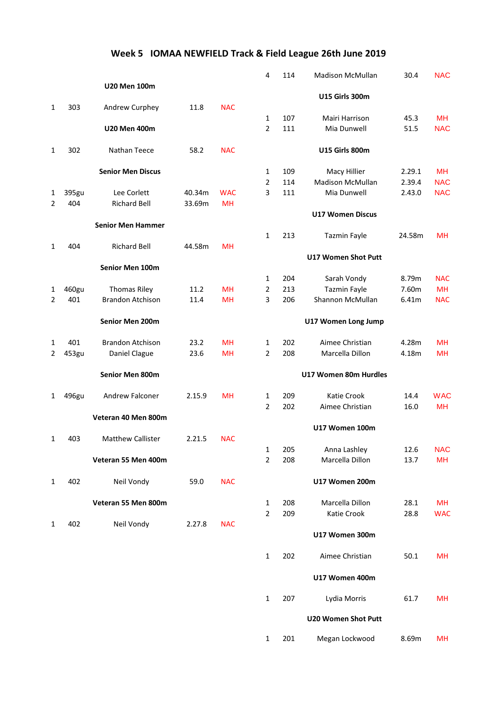|                |       |                          |        |            | 4                 | 114        | Madison McMullan              | 30.4         | <b>NAC</b> |
|----------------|-------|--------------------------|--------|------------|-------------------|------------|-------------------------------|--------------|------------|
|                |       | <b>U20 Men 100m</b>      |        |            |                   |            |                               |              |            |
|                |       |                          |        |            |                   |            | <b>U15 Girls 300m</b>         |              |            |
| $\mathbf{1}$   | 303   | Andrew Curphey           | 11.8   | <b>NAC</b> |                   |            |                               |              | <b>MH</b>  |
|                |       | <b>U20 Men 400m</b>      |        |            | $\mathbf{1}$<br>2 | 107<br>111 | Mairi Harrison<br>Mia Dunwell | 45.3<br>51.5 | <b>NAC</b> |
|                |       |                          |        |            |                   |            |                               |              |            |
| $\mathbf{1}$   | 302   | Nathan Teece             | 58.2   | <b>NAC</b> |                   |            | U15 Girls 800m                |              |            |
|                |       | <b>Senior Men Discus</b> |        |            | 1                 | 109        | Macy Hillier                  | 2.29.1       | <b>MH</b>  |
|                |       |                          |        |            | 2                 | 114        | <b>Madison McMullan</b>       | 2.39.4       | <b>NAC</b> |
| 1              | 395gu | Lee Corlett              | 40.34m | <b>WAC</b> | 3                 | 111        | Mia Dunwell                   | 2.43.0       | <b>NAC</b> |
| 2              | 404   | <b>Richard Bell</b>      | 33.69m | <b>MH</b>  |                   |            |                               |              |            |
|                |       |                          |        |            |                   |            | <b>U17 Women Discus</b>       |              |            |
|                |       | <b>Senior Men Hammer</b> |        |            |                   |            |                               |              |            |
|                |       |                          |        |            | 1                 | 213        | <b>Tazmin Fayle</b>           | 24.58m       | <b>MH</b>  |
| 1              | 404   | <b>Richard Bell</b>      | 44.58m | MH         |                   |            | <b>U17 Women Shot Putt</b>    |              |            |
|                |       | Senior Men 100m          |        |            |                   |            |                               |              |            |
|                |       |                          |        |            | $\mathbf{1}$      | 204        | Sarah Vondy                   | 8.79m        | <b>NAC</b> |
| 1              | 460gu | <b>Thomas Riley</b>      | 11.2   | MH         | $\overline{2}$    | 213        | <b>Tazmin Fayle</b>           | 7.60m        | <b>MH</b>  |
| 2              | 401   | <b>Brandon Atchison</b>  | 11.4   | <b>MH</b>  | 3                 | 206        | Shannon McMullan              | 6.41m        | <b>NAC</b> |
|                |       |                          |        |            |                   |            |                               |              |            |
|                |       | Senior Men 200m          |        |            |                   |            | U17 Women Long Jump           |              |            |
| 1              | 401   | <b>Brandon Atchison</b>  | 23.2   | MH         | 1                 | 202        | Aimee Christian               | 4.28m        | <b>MH</b>  |
| $\overline{2}$ | 453gu | Daniel Clague            | 23.6   | <b>MH</b>  | 2                 | 208        | Marcella Dillon               | 4.18m        | <b>MH</b>  |
|                |       | Senior Men 800m          |        |            |                   |            | U17 Women 80m Hurdles         |              |            |
|                |       |                          |        |            |                   |            |                               |              |            |
| 1              | 496gu | Andrew Falconer          | 2.15.9 | <b>MH</b>  | 1                 | 209        | Katie Crook                   | 14.4         | <b>WAC</b> |
|                |       |                          |        |            | 2                 | 202        | Aimee Christian               | 16.0         | <b>MH</b>  |
|                |       | Veteran 40 Men 800m      |        |            |                   |            |                               |              |            |
|                |       |                          |        |            |                   |            | U17 Women 100m                |              |            |
| 1              | 403   | <b>Matthew Callister</b> | 2.21.5 | <b>NAC</b> |                   |            |                               |              |            |
|                |       |                          |        |            |                   | 205        | Anna Lashley                  | 12.6         | <b>NAC</b> |
|                |       | Veteran 55 Men 400m      |        |            | 2                 | 208        | Marcella Dillon               | 13.7         | MН         |
| 1              | 402   | Neil Vondy               | 59.0   | <b>NAC</b> |                   |            | U17 Women 200m                |              |            |
|                |       | Veteran 55 Men 800m      |        |            | 1                 | 208        | Marcella Dillon               | 28.1         | MH         |
|                |       |                          |        |            | $\overline{2}$    | 209        | Katie Crook                   | 28.8         | <b>WAC</b> |
| $\mathbf{1}$   | 402   | Neil Vondy               | 2.27.8 | <b>NAC</b> |                   |            |                               |              |            |
|                |       |                          |        |            |                   |            | U17 Women 300m                |              |            |
|                |       |                          |        |            | 1                 | 202        | Aimee Christian               | 50.1         | <b>MH</b>  |
|                |       |                          |        |            |                   |            | U17 Women 400m                |              |            |
|                |       |                          |        |            |                   |            |                               |              |            |
|                |       |                          |        |            | $\mathbf 1$       | 207        | Lydia Morris                  | 61.7         | MH         |

### **U20 Women Shot Putt**

| - 201 | Megan Lockwood | 8.69m | MH |
|-------|----------------|-------|----|
|       |                |       |    |